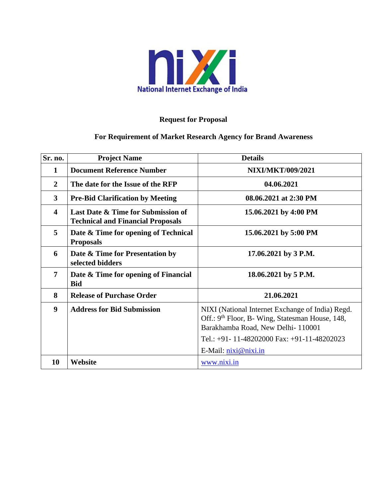

# **Request for Proposal**

# **For Requirement of Market Research Agency for Brand Awareness**

| Sr. no.                 | <b>Project Name</b>                                                            | <b>Details</b>                                                                                                                                                                                                               |  |
|-------------------------|--------------------------------------------------------------------------------|------------------------------------------------------------------------------------------------------------------------------------------------------------------------------------------------------------------------------|--|
| 1                       | <b>Document Reference Number</b>                                               | <b>NIXI/MKT/009/2021</b>                                                                                                                                                                                                     |  |
| $\overline{2}$          | The date for the Issue of the RFP                                              | 04.06.2021                                                                                                                                                                                                                   |  |
| $\mathbf{3}$            | <b>Pre-Bid Clarification by Meeting</b>                                        | 08.06.2021 at 2:30 PM                                                                                                                                                                                                        |  |
| $\overline{\mathbf{4}}$ | Last Date & Time for Submission of<br><b>Technical and Financial Proposals</b> | 15.06.2021 by 4:00 PM                                                                                                                                                                                                        |  |
| 5                       | Date & Time for opening of Technical<br><b>Proposals</b>                       | 15.06.2021 by 5:00 PM                                                                                                                                                                                                        |  |
| 6                       | Date & Time for Presentation by<br>selected bidders                            | 17.06.2021 by 3 P.M.                                                                                                                                                                                                         |  |
| $\overline{7}$          | Date & Time for opening of Financial<br><b>Bid</b>                             | 18.06.2021 by 5 P.M.                                                                                                                                                                                                         |  |
| 8                       | <b>Release of Purchase Order</b>                                               | 21.06.2021                                                                                                                                                                                                                   |  |
| $\boldsymbol{9}$        | <b>Address for Bid Submission</b>                                              | NIXI (National Internet Exchange of India) Regd.<br>Off.: 9 <sup>th</sup> Floor, B- Wing, Statesman House, 148,<br>Barakhamba Road, New Delhi-110001<br>Tel.: +91-11-48202000 Fax: +91-11-48202023<br>E-Mail: $nixi@nixi.in$ |  |
| 10                      | Website                                                                        | www.nixi.in                                                                                                                                                                                                                  |  |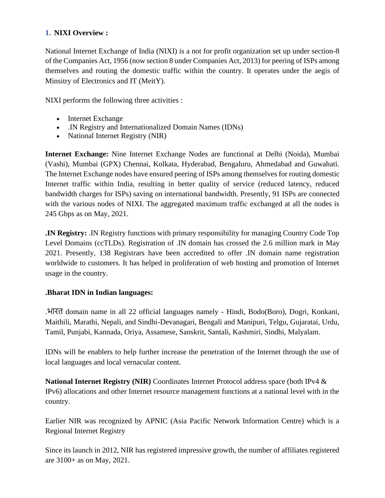## **1. NIXI Overview :**

National Internet Exchange of India (NIXI) is a not for profit organization set up under section-8 of the Companies Act, 1956 (now section 8 under Companies Act, 2013) for peering of ISPs among themselves and routing the domestic traffic within the country. It operates under the aegis of Minsitry of Electronics and IT (MeitY).

NIXI performs the following three activities :

- Internet Exchange
- .IN Registry and Internationalized Domain Names (IDNs)
- National Internet Registry (NIR)

**Internet Exchange:** Nine Internet Exchange Nodes are functional at Delhi (Noida), Mumbai (Vashi), Mumbai (GPX) Chennai, Kolkata, Hyderabad, Bengaluru, Ahmedabad and Guwahati. The Internet Exchange nodes have ensured peering of ISPs among themselves for routing domestic Internet traffic within India, resulting in better quality of service (reduced latency, reduced bandwidth charges for ISPs) saving on international bandwidth. Presently, 91 ISPs are connected with the various nodes of NIXI. The aggregated maximum traffic exchanged at all the nodes is 245 Gbps as on May, 2021.

**.IN Registry:** .IN Registry functions with primary responsibility for managing Country Code Top Level Domains (ccTLDs). Registration of .IN domain has crossed the 2.6 million mark in May 2021. Presently, 138 Registrars have been accredited to offer .IN domain name registration worldwide to customers. It has helped in proliferation of web hosting and promotion of Internet usage in the country.

## **.Bharat IDN in Indian languages:**

.भारत domain name in all 22 official languages namely - Hindi, Bodo(Boro), Dogri, Konkani, Maithili, Marathi, Nepali, and Sindhi-Devanagari, Bengali and Manipuri, Telgu, Gujaratai, Urdu, Tamil, Punjabi, Kannada, Oriya, Assamese, Sanskrit, Santali, Kashmiri, Sindhi, Malyalam.

IDNs will be enablers to help further increase the penetration of the Internet through the use of local languages and local vernacular content.

**National Internet Registry (NIR)** Coordinates Internet Protocol address space (both IPv4 & IPv6) allocations and other Internet resource management functions at a national level with in the country.

Earlier NIR was recognized by APNIC (Asia Pacific Network Information Centre) which is a Regional Internet Registry

Since its launch in 2012, NIR has registered impressive growth, the number of affiliates registered are 3100+ as on May, 2021.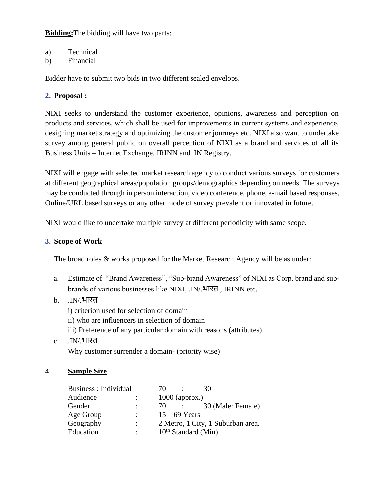**Bidding:**The bidding will have two parts:

- a) Technical
- b) Financial

Bidder have to submit two bids in two different sealed envelops.

## **2. Proposal :**

NIXI seeks to understand the customer experience, opinions, awareness and perception on products and services, which shall be used for improvements in current systems and experience, designing market strategy and optimizing the customer journeys etc. NIXI also want to undertake survey among general public on overall perception of NIXI as a brand and services of all its Business Units – Internet Exchange, IRINN and .IN Registry.

NIXI will engage with selected market research agency to conduct various surveys for customers at different geographical areas/population groups/demographics depending on needs. The surveys may be conducted through in person interaction, video conference, phone, e-mail based responses, Online/URL based surveys or any other mode of survey prevalent or innovated in future.

NIXI would like to undertake multiple survey at different periodicity with same scope.

## **3. Scope of Work**

The broad roles & works proposed for the Market Research Agency will be as under:

- a. Estimate of "Brand Awareness", "Sub-brand Awareness" of NIXI as Corp. brand and subbrands of various businesses like NIXI, .IN/.भारत , IRINN etc.
- b. .IN/.भारत

i) criterion used for selection of domain ii) who are influencers in selection of domain iii) Preference of any particular domain with reasons (attributes)

c. .IN/.भारत Why customer surrender a domain- (priority wise)

## 4. **Sample Size**

|                      | 70 | 30                                                                                          |
|----------------------|----|---------------------------------------------------------------------------------------------|
|                      |    |                                                                                             |
| $\ddot{\phantom{a}}$ | 70 | 30 (Male: Female)                                                                           |
| $\mathcal{L}$        |    |                                                                                             |
| $\ddot{\phantom{a}}$ |    | 2 Metro, 1 City, 1 Suburban area.                                                           |
|                      |    |                                                                                             |
|                      |    | $1000$ (approx.)<br>$\sim$ 100 $\sim$<br>$15 - 69$ Years<br>10 <sup>th</sup> Standard (Min) |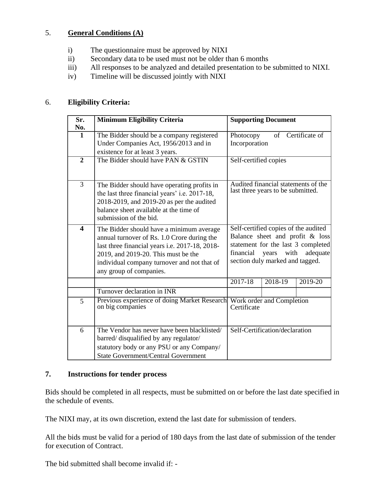## 5. **General Conditions (A)**

- i) The questionnaire must be approved by NIXI
- ii) Secondary data to be used must not be older than 6 months
- iii) All responses to be analyzed and detailed presentation to be submitted to NIXI.
- iv) Timeline will be discussed jointly with NIXI

## 6. **Eligibility Criteria:**

| Sr.                     | <b>Minimum Eligibility Criteria</b>            | <b>Supporting Document</b>               |  |
|-------------------------|------------------------------------------------|------------------------------------------|--|
| No.                     |                                                |                                          |  |
| $\mathbf{1}$            | The Bidder should be a company registered      | of Certificate of<br>Photocopy           |  |
|                         | Under Companies Act, 1956/2013 and in          | Incorporation                            |  |
|                         | existence for at least 3 years.                |                                          |  |
| $\overline{2}$          | The Bidder should have PAN & GSTIN             | Self-certified copies                    |  |
|                         |                                                |                                          |  |
|                         |                                                |                                          |  |
| 3                       | The Bidder should have operating profits in    | Audited financial statements of the      |  |
|                         | the last three financial years' i.e. 2017-18,  | last three years to be submitted.        |  |
|                         | 2018-2019, and 2019-20 as per the audited      |                                          |  |
|                         | balance sheet available at the time of         |                                          |  |
|                         | submission of the bid.                         |                                          |  |
| $\overline{\mathbf{4}}$ | The Bidder should have a minimum average       | Self-certified copies of the audited     |  |
|                         | annual turnover of Rs. 1.0 Crore during the    | Balance sheet and profit & loss          |  |
|                         | last three financial years i.e. 2017-18, 2018- | statement for the last 3 completed       |  |
|                         | 2019, and 2019-20. This must be the            | financial<br>with<br>adequate<br>years   |  |
|                         | individual company turnover and not that of    | section duly marked and tagged.          |  |
|                         | any group of companies.                        |                                          |  |
|                         |                                                | 2017-18<br>2018-19<br>$2019 - 20$        |  |
|                         | Turnover declaration in INR                    |                                          |  |
|                         | Previous experience of doing Market Research   |                                          |  |
| 5                       | on big companies                               | Work order and Completion<br>Certificate |  |
|                         |                                                |                                          |  |
|                         |                                                |                                          |  |
| 6                       | The Vendor has never have been blacklisted/    | Self-Certification/declaration           |  |
|                         | barred/ disqualified by any regulator/         |                                          |  |
|                         | statutory body or any PSU or any Company/      |                                          |  |
|                         | <b>State Government/Central Government</b>     |                                          |  |

#### **7. Instructions for tender process**

Bids should be completed in all respects, must be submitted on or before the last date specified in the schedule of events.

The NIXI may, at its own discretion, extend the last date for submission of tenders.

All the bids must be valid for a period of 180 days from the last date of submission of the tender for execution of Contract.

The bid submitted shall become invalid if: -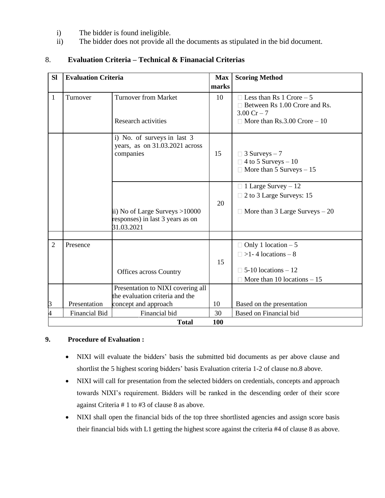- i) The bidder is found ineligible.
- ii) The bidder does not provide all the documents as stipulated in the bid document.

# 8. **Evaluation Criteria – Technical & Finanacial Criterias**

| <b>Sl</b><br><b>Evaluation Criteria</b> |                      |                                                                                  | <b>Max</b><br><b>Scoring Method</b> |                                                                                                                                         |  |
|-----------------------------------------|----------------------|----------------------------------------------------------------------------------|-------------------------------------|-----------------------------------------------------------------------------------------------------------------------------------------|--|
|                                         |                      |                                                                                  | marks                               |                                                                                                                                         |  |
| $\mathbf{1}$                            | Turnover             | <b>Turnover from Market</b><br><b>Research activities</b>                        | 10                                  | $\Box$ Less than Rs 1 Crore – 5<br>$\Box$ Between Rs 1.00 Crore and Rs.<br>$3.00 \text{ Cr} - 7$<br>$\Box$ More than Rs.3.00 Crore – 10 |  |
|                                         |                      | i) No. of surveys in last 3<br>years, as on 31.03.2021 across<br>companies       | 15                                  | $\Box$ 3 Surveys – 7<br>$\Box$ 4 to 5 Surveys – 10<br>$\Box$ More than 5 Surveys $-15$                                                  |  |
|                                         |                      | ii) No of Large Surveys >10000<br>responses) in last 3 years as on<br>31.03.2021 | 20                                  | $\Box$ 1 Large Survey – 12<br>2 to 3 Large Surveys: 15<br>$\Box$ More than 3 Large Surveys $-20$                                        |  |
|                                         |                      |                                                                                  |                                     |                                                                                                                                         |  |
| $\overline{2}$                          | Presence             | <b>Offices across Country</b>                                                    | 15                                  | $\Box$ Only 1 location $-5$<br>$\Box$ >1 - 4 locations – 8<br>$\Box$ 5-10 locations – 12<br>More than 10 locations $-15$                |  |
|                                         |                      | Presentation to NIXI covering all                                                |                                     |                                                                                                                                         |  |
|                                         |                      | the evaluation criteria and the                                                  |                                     |                                                                                                                                         |  |
| 3                                       | Presentation         | concept and approach                                                             | 10                                  | Based on the presentation                                                                                                               |  |
| 4                                       | <b>Financial Bid</b> | Financial bid                                                                    | 30                                  | Based on Financial bid                                                                                                                  |  |
|                                         |                      | <b>Total</b>                                                                     | 100                                 |                                                                                                                                         |  |

## **9. Procedure of Evaluation :**

- NIXI will evaluate the bidders' basis the submitted bid documents as per above clause and shortlist the 5 highest scoring bidders' basis Evaluation criteria 1-2 of clause no.8 above.
- NIXI will call for presentation from the selected bidders on credentials, concepts and approach towards NIXI's requirement. Bidders will be ranked in the descending order of their score against Criteria # 1 to #3 of clause 8 as above.
- NIXI shall open the financial bids of the top three shortlisted agencies and assign score basis their financial bids with L1 getting the highest score against the criteria #4 of clause 8 as above.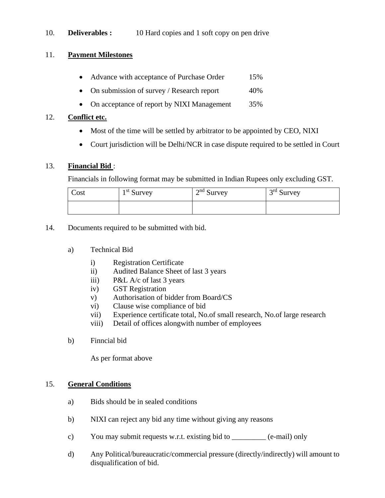## 10. **Deliverables :** 10 Hard copies and 1 soft copy on pen drive

#### 11. **Payment Milestones**

- Advance with acceptance of Purchase Order 15%
- On submission of survey / Research report  $40\%$
- On acceptance of report by NIXI Management 35%

#### 12. **Conflict etc.**

- Most of the time will be settled by arbitrator to be appointed by CEO, NIXI
- Court jurisdiction will be Delhi/NCR in case dispute required to be settled in Court

#### 13. **Financial Bid** :

Financials in following format may be submitted in Indian Rupees only excluding GST.

| Cost | $1st$ Survey | $2nd$ Survey | $3rd$ Survey |
|------|--------------|--------------|--------------|
|      |              |              |              |

- 14. Documents required to be submitted with bid.
	- a) Technical Bid
		- i) Registration Certificate
		- ii) Audited Balance Sheet of last 3 years
		- iii) P&L A/c of last 3 years
		- iv) GST Registration
		- v) Authorisation of bidder from Board/CS
		- vi) Clause wise compliance of bid
		- vii) Experience certificate total, No.of small research, No.of large research
		- viii) Detail of offices alongwith number of employees
	- b) Finncial bid

As per format above

#### 15. **General Conditions**

- a) Bids should be in sealed conditions
- b) NIXI can reject any bid any time without giving any reasons
- c) You may submit requests w.r.t. existing bid to \_\_\_\_\_\_\_\_\_ (e-mail) only
- d) Any Political/bureaucratic/commercial pressure (directly/indirectly) will amount to disqualification of bid.